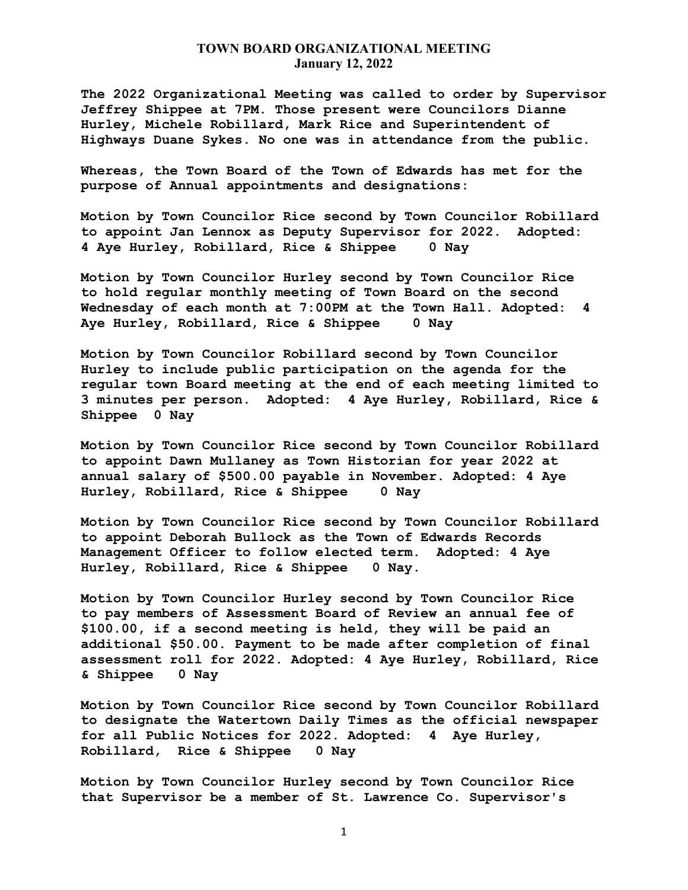**The 2022 Organizational Meeting was called to order by Supervisor Jeffrey Shippee at 7PM. Those present were Councilors Dianne Hurley, Michele Robillard, Mark Rice and Superintendent of Highways Duane Sykes. No one was in attendance from the public.**

**Whereas, the Town Board of the Town of Edwards has met for the purpose of Annual appointments and designations:**

**Motion by Town Councilor Rice second by Town Councilor Robillard to appoint Jan Lennox as Deputy Supervisor for 2022. Adopted: 4 Aye Hurley, Robillard, Rice & Shippee 0 Nay**

**Motion by Town Councilor Hurley second by Town Councilor Rice to hold regular monthly meeting of Town Board on the second Wednesday of each month at 7:00PM at the Town Hall. Adopted: 4 Aye Hurley, Robillard, Rice & Shippee 0 Nay**

**Motion by Town Councilor Robillard second by Town Councilor Hurley to include public participation on the agenda for the regular town Board meeting at the end of each meeting limited to 3 minutes per person. Adopted: 4 Aye Hurley, Robillard, Rice & Shippee 0 Nay**

**Motion by Town Councilor Rice second by Town Councilor Robillard to appoint Dawn Mullaney as Town Historian for year 2022 at annual salary of \$500.00 payable in November. Adopted: 4 Aye Hurley, Robillard, Rice & Shippee 0 Nay**

**Motion by Town Councilor Rice second by Town Councilor Robillard to appoint Deborah Bullock as the Town of Edwards Records Management Officer to follow elected term. Adopted: 4 Aye Hurley, Robillard, Rice & Shippee 0 Nay.**

**Motion by Town Councilor Hurley second by Town Councilor Rice to pay members of Assessment Board of Review an annual fee of \$100.00, if a second meeting is held, they will be paid an additional \$50.00. Payment to be made after completion of final assessment roll for 2022. Adopted: 4 Aye Hurley, Robillard, Rice & Shippee 0 Nay**

**Motion by Town Councilor Rice second by Town Councilor Robillard to designate the Watertown Daily Times as the official newspaper for all Public Notices for 2022. Adopted: 4 Aye Hurley, Robillard, Rice & Shippee 0 Nay**

**Motion by Town Councilor Hurley second by Town Councilor Rice that Supervisor be a member of St. Lawrence Co. Supervisor's**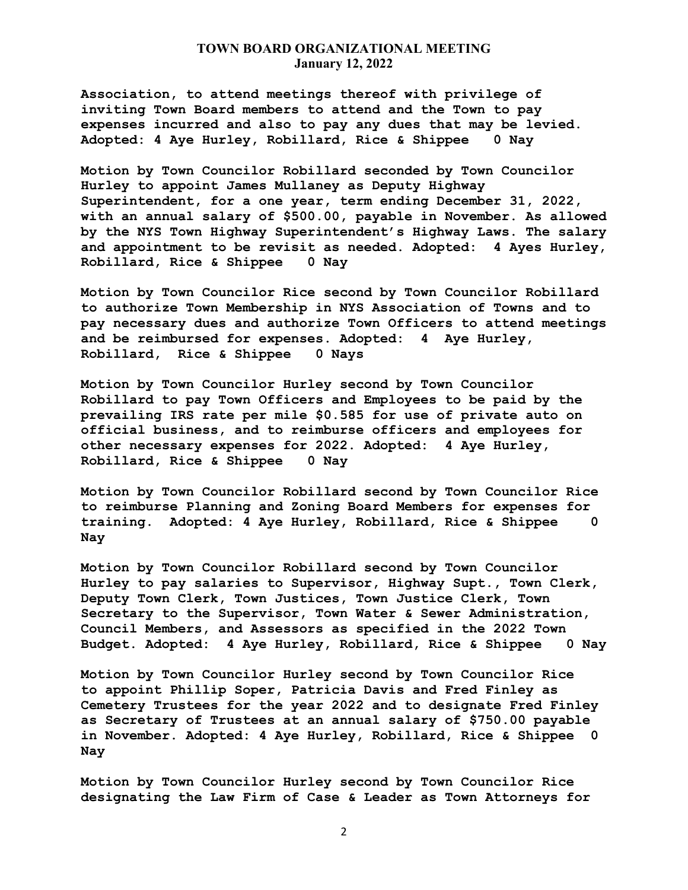**Association, to attend meetings thereof with privilege of inviting Town Board members to attend and the Town to pay expenses incurred and also to pay any dues that may be levied. Adopted: 4 Aye Hurley, Robillard, Rice & Shippee 0 Nay**

**Motion by Town Councilor Robillard seconded by Town Councilor Hurley to appoint James Mullaney as Deputy Highway Superintendent, for a one year, term ending December 31, 2022, with an annual salary of \$500.00, payable in November. As allowed by the NYS Town Highway Superintendent's Highway Laws. The salary and appointment to be revisit as needed. Adopted: 4 Ayes Hurley, Robillard, Rice & Shippee 0 Nay**

**Motion by Town Councilor Rice second by Town Councilor Robillard to authorize Town Membership in NYS Association of Towns and to pay necessary dues and authorize Town Officers to attend meetings and be reimbursed for expenses. Adopted: 4 Aye Hurley, Robillard, Rice & Shippee 0 Nays**

**Motion by Town Councilor Hurley second by Town Councilor Robillard to pay Town Officers and Employees to be paid by the prevailing IRS rate per mile \$0.585 for use of private auto on official business, and to reimburse officers and employees for other necessary expenses for 2022. Adopted: 4 Aye Hurley, Robillard, Rice & Shippee 0 Nay**

**Motion by Town Councilor Robillard second by Town Councilor Rice to reimburse Planning and Zoning Board Members for expenses for training. Adopted: 4 Aye Hurley, Robillard, Rice & Shippee 0 Nay**

**Motion by Town Councilor Robillard second by Town Councilor Hurley to pay salaries to Supervisor, Highway Supt., Town Clerk, Deputy Town Clerk, Town Justices, Town Justice Clerk, Town Secretary to the Supervisor, Town Water & Sewer Administration, Council Members, and Assessors as specified in the 2022 Town Budget. Adopted: 4 Aye Hurley, Robillard, Rice & Shippee 0 Nay**

**Motion by Town Councilor Hurley second by Town Councilor Rice to appoint Phillip Soper, Patricia Davis and Fred Finley as Cemetery Trustees for the year 2022 and to designate Fred Finley as Secretary of Trustees at an annual salary of \$750.00 payable in November. Adopted: 4 Aye Hurley, Robillard, Rice & Shippee 0 Nay**

**Motion by Town Councilor Hurley second by Town Councilor Rice designating the Law Firm of Case & Leader as Town Attorneys for** 

2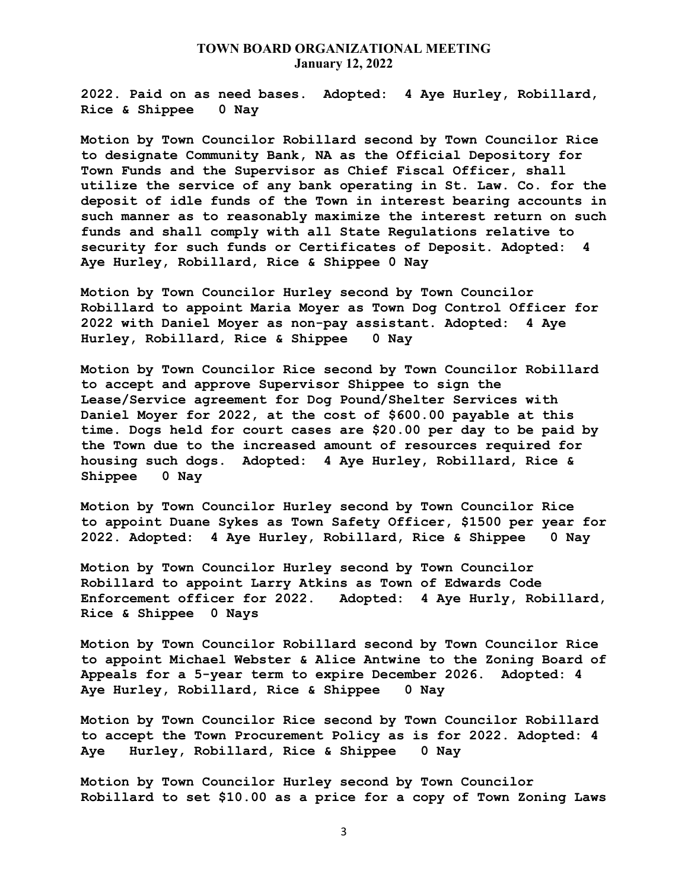**2022. Paid on as need bases. Adopted: 4 Aye Hurley, Robillard, Rice & Shippee 0 Nay**

**Motion by Town Councilor Robillard second by Town Councilor Rice to designate Community Bank, NA as the Official Depository for Town Funds and the Supervisor as Chief Fiscal Officer, shall utilize the service of any bank operating in St. Law. Co. for the deposit of idle funds of the Town in interest bearing accounts in such manner as to reasonably maximize the interest return on such funds and shall comply with all State Regulations relative to security for such funds or Certificates of Deposit. Adopted: 4 Aye Hurley, Robillard, Rice & Shippee 0 Nay**

**Motion by Town Councilor Hurley second by Town Councilor Robillard to appoint Maria Moyer as Town Dog Control Officer for 2022 with Daniel Moyer as non-pay assistant. Adopted: 4 Aye Hurley, Robillard, Rice & Shippee 0 Nay**

**Motion by Town Councilor Rice second by Town Councilor Robillard to accept and approve Supervisor Shippee to sign the Lease/Service agreement for Dog Pound/Shelter Services with Daniel Moyer for 2022, at the cost of \$600.00 payable at this time. Dogs held for court cases are \$20.00 per day to be paid by the Town due to the increased amount of resources required for housing such dogs. Adopted: 4 Aye Hurley, Robillard, Rice & Shippee 0 Nay**

**Motion by Town Councilor Hurley second by Town Councilor Rice to appoint Duane Sykes as Town Safety Officer, \$1500 per year for 2022. Adopted: 4 Aye Hurley, Robillard, Rice & Shippee 0 Nay**

**Motion by Town Councilor Hurley second by Town Councilor Robillard to appoint Larry Atkins as Town of Edwards Code Enforcement officer for 2022. Adopted: 4 Aye Hurly, Robillard, Rice & Shippee 0 Nays**

**Motion by Town Councilor Robillard second by Town Councilor Rice to appoint Michael Webster & Alice Antwine to the Zoning Board of Appeals for a 5-year term to expire December 2026. Adopted: 4 Aye Hurley, Robillard, Rice & Shippee 0 Nay**

**Motion by Town Councilor Rice second by Town Councilor Robillard to accept the Town Procurement Policy as is for 2022. Adopted: 4 Aye Hurley, Robillard, Rice & Shippee 0 Nay**

**Motion by Town Councilor Hurley second by Town Councilor Robillard to set \$10.00 as a price for a copy of Town Zoning Laws**

3